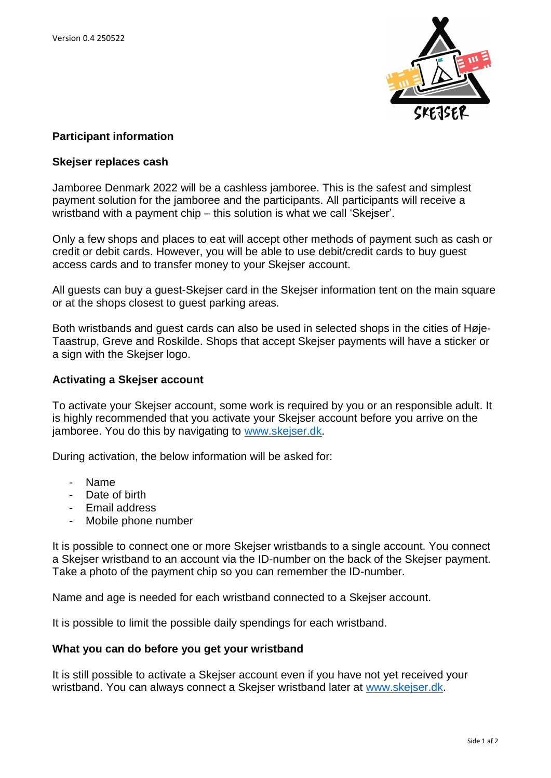

# **Participant information**

## **Skejser replaces cash**

Jamboree Denmark 2022 will be a cashless jamboree. This is the safest and simplest payment solution for the jamboree and the participants. All participants will receive a wristband with a payment chip – this solution is what we call 'Skejser'.

Only a few shops and places to eat will accept other methods of payment such as cash or credit or debit cards. However, you will be able to use debit/credit cards to buy guest access cards and to transfer money to your Skejser account.

All guests can buy a guest-Skejser card in the Skejser information tent on the main square or at the shops closest to guest parking areas.

Both wristbands and guest cards can also be used in selected shops in the cities of Høje-Taastrup, Greve and Roskilde. Shops that accept Skejser payments will have a sticker or a sign with the Skejser logo.

# **Activating a Skejser account**

To activate your Skejser account, some work is required by you or an responsible adult. It is highly recommended that you activate your Skejser account before you arrive on the jamboree. You do this by navigating to [www.skejser.dk.](http://www.skejser.dk/)

During activation, the below information will be asked for:

- Name
- Date of birth
- Email address
- Mobile phone number

It is possible to connect one or more Skejser wristbands to a single account. You connect a Skejser wristband to an account via the ID-number on the back of the Skejser payment. Take a photo of the payment chip so you can remember the ID-number.

Name and age is needed for each wristband connected to a Skejser account.

It is possible to limit the possible daily spendings for each wristband.

### **What you can do before you get your wristband**

It is still possible to activate a Skejser account even if you have not yet received your wristband. You can always connect a Skejser wristband later at [www.skejser.dk.](http://www.skejser.dk/)